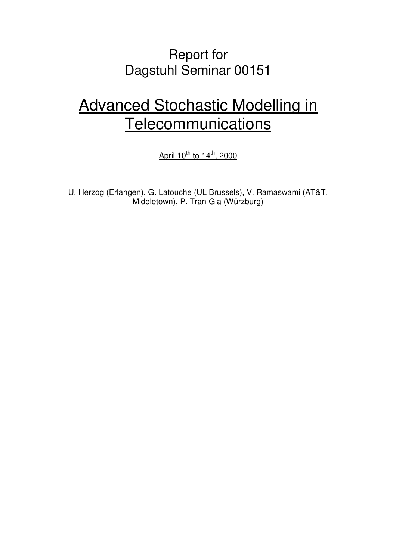## Report for Dagstuhl Seminar 00151

# Advanced Stochastic Modelling in **Telecommunications**

April  $10^{th}$  to  $14^{th}$ , 2000

U. Herzog (Erlangen), G. Latouche (UL Brussels), V. Ramaswami (AT&T, Middletown), P. Tran-Gia (Würzburg)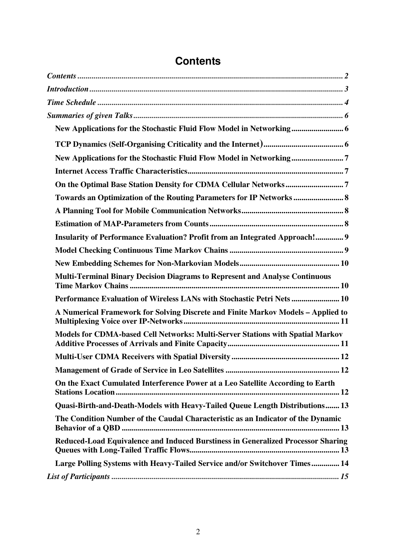| New Applications for the Stochastic Fluid Flow Model in Networking 6             |  |
|----------------------------------------------------------------------------------|--|
|                                                                                  |  |
| New Applications for the Stochastic Fluid Flow Model in Networking7              |  |
|                                                                                  |  |
|                                                                                  |  |
| Towards an Optimization of the Routing Parameters for IP Networks                |  |
|                                                                                  |  |
|                                                                                  |  |
| Insularity of Performance Evaluation? Profit from an Integrated Approach! 9      |  |
|                                                                                  |  |
|                                                                                  |  |
| Multi-Terminal Binary Decision Diagrams to Represent and Analyse Continuous      |  |
| Performance Evaluation of Wireless LANs with Stochastic Petri Nets  10           |  |
| A Numerical Framework for Solving Discrete and Finite Markov Models - Applied to |  |
| Models for CDMA-based Cell Networks: Multi-Server Stations with Spatial Markov   |  |
|                                                                                  |  |
|                                                                                  |  |
| On the Exact Cumulated Interference Power at a Leo Satellite According to Earth  |  |
| Quasi-Birth-and-Death-Models with Heavy-Tailed Queue Length Distributions 13     |  |
| The Condition Number of the Caudal Characteristic as an Indicator of the Dynamic |  |
| Reduced-Load Equivalence and Induced Burstiness in Generalized Processor Sharing |  |
| Large Polling Systems with Heavy-Tailed Service and/or Switchover Times 14       |  |
|                                                                                  |  |
|                                                                                  |  |

## **Contents**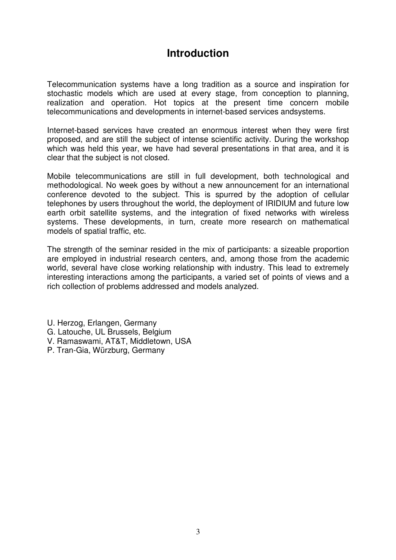### **Introduction**

Telecommunication systems have a long tradition as a source and inspiration for stochastic models which are used at every stage, from conception to planning, realization and operation. Hot topics at the present time concern mobile telecommunications and developments in internet-based services andsystems.

Internet-based services have created an enormous interest when they were first proposed, and are still the subject of intense scientific activity. During the workshop which was held this year, we have had several presentations in that area, and it is clear that the subject is not closed.

Mobile telecommunications are still in full development, both technological and methodological. No week goes by without a new announcement for an international conference devoted to the subject. This is spurred by the adoption of cellular telephones by users throughout the world, the deployment of IRIDIUM and future low earth orbit satellite systems, and the integration of fixed networks with wireless systems. These developments, in turn, create more research on mathematical models of spatial traffic, etc.

The strength of the seminar resided in the mix of participants: a sizeable proportion are employed in industrial research centers, and, among those from the academic world, several have close working relationship with industry. This lead to extremely interesting interactions among the participants, a varied set of points of views and a rich collection of problems addressed and models analyzed.

- U. Herzog, Erlangen, Germany
- G. Latouche, UL Brussels, Belgium
- V. Ramaswami, AT&T, Middletown, USA
- P. Tran-Gia, Würzburg, Germany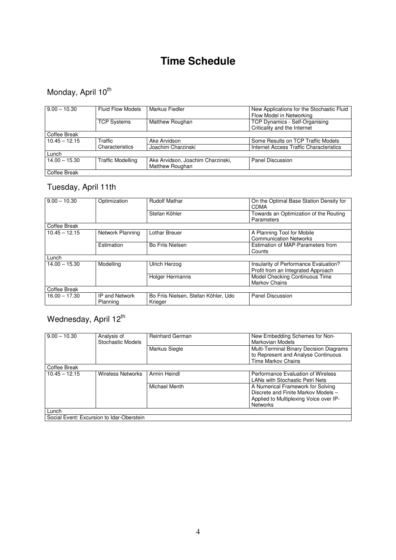## **Time Schedule**

## Monday, April 10<sup>th</sup>

| $9.00 - 10.30$  | <b>Fluid Flow Models</b> | Markus Fiedler                    | New Applications for the Stochastic Fluid<br>Flow Model in Networking |  |
|-----------------|--------------------------|-----------------------------------|-----------------------------------------------------------------------|--|
|                 | <b>TCP Systems</b>       | <b>Matthew Roughan</b>            | TCP Dynamics - Self-Organising                                        |  |
|                 |                          |                                   | Criticality and the Internet                                          |  |
| Coffee Break    |                          |                                   |                                                                       |  |
| $10.45 - 12.15$ | Traffic                  | Ake Arvidson                      | Some Results on TCP Traffic Models                                    |  |
|                 | Characteristics          | Joachim Charzinski                | Internet Access Traffic Characteristics                               |  |
| Lunch           |                          |                                   |                                                                       |  |
| $14.00 - 15.30$ | <b>Traffic Modelling</b> | Ake Arvidson, Joachim Charzinski, | Panel Discussion                                                      |  |
|                 |                          | <b>Matthew Roughan</b>            |                                                                       |  |
| Coffee Break    |                          |                                   |                                                                       |  |

### Tuesday, April 11th

| $9.00 - 10.30$  | Optimization          | <b>Rudolf Mathar</b>                 | On the Optimal Base Station Density for |  |
|-----------------|-----------------------|--------------------------------------|-----------------------------------------|--|
|                 |                       |                                      | <b>CDMA</b>                             |  |
|                 |                       | Stefan Köhler                        | Towards an Optimization of the Routing  |  |
|                 |                       |                                      |                                         |  |
|                 |                       |                                      | Parameters                              |  |
| Coffee Break    |                       |                                      |                                         |  |
| $10.45 - 12.15$ | Network Planning      | Lothar Breuer                        | A Planning Tool for Mobile              |  |
|                 |                       |                                      | <b>Communication Networks</b>           |  |
|                 |                       | <b>Bo Friis Nielsen</b>              |                                         |  |
|                 | Estimation            |                                      | Estimation of MAP-Parameters from       |  |
|                 |                       |                                      | Counts                                  |  |
| Lunch           |                       |                                      |                                         |  |
| $14.00 - 15.30$ | Modelling             | <b>Ulrich Herzog</b>                 | Insularity of Performance Evaluation?   |  |
|                 |                       |                                      | Profit from an Integrated Approach      |  |
|                 |                       | <b>Holger Hermanns</b>               | Model Checking Continuous Time          |  |
|                 |                       |                                      | <b>Markov Chains</b>                    |  |
| Coffee Break    |                       |                                      |                                         |  |
| $16.00 - 17.30$ | <b>IP and Network</b> | Bo Friis Nielsen, Stefan Köhler, Udo | Panel Discussion                        |  |
|                 | Planning              | Krieger                              |                                         |  |
|                 |                       |                                      |                                         |  |

## Wednesday, April 12<sup>th</sup>

| $9.00 - 10.30$                            | Analysis of<br><b>Stochastic Models</b> | <b>Reinhard German</b> | New Embedding Schemes for Non-<br>Markovian Models                                                   |
|-------------------------------------------|-----------------------------------------|------------------------|------------------------------------------------------------------------------------------------------|
|                                           |                                         | Markus Siegle          | Multi-Terminal Binary Decision Diagrams<br>to Represent and Analyse Continuous<br>Time Markov Chains |
| Coffee Break                              |                                         |                        |                                                                                                      |
| $10.45 - 12.15$                           | <b>Wireless Networks</b>                | Armin Heindl           | Performance Evaluation of Wireless                                                                   |
|                                           |                                         |                        | <b>LANs with Stochastic Petri Nets</b>                                                               |
|                                           |                                         | <b>Michael Menth</b>   | A Numerical Framework for Solving<br>Discrete and Finite Markov Models -                             |
|                                           |                                         |                        | Applied to Multiplexing Voice over IP-                                                               |
|                                           |                                         |                        | <b>Networks</b>                                                                                      |
| Lunch                                     |                                         |                        |                                                                                                      |
| Social Event: Excursion to Idar-Oberstein |                                         |                        |                                                                                                      |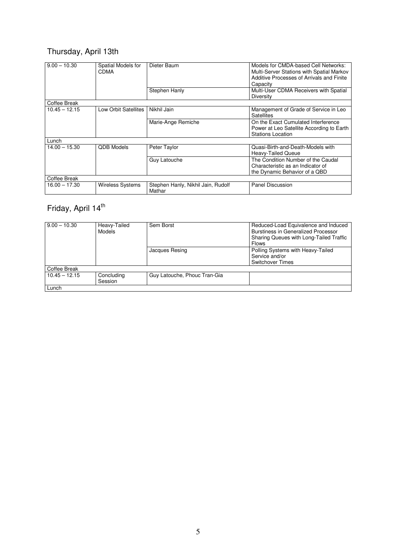## Thursday, April 13th

| $9.00 - 10.30$  | Spatial Models for<br><b>CDMA</b> | Dieter Baum                                  | Models for CMDA-based Cell Networks:<br>Multi-Server Stations with Spatial Markov<br>Additive Processes of Arrivals and Finite<br>Capacity |
|-----------------|-----------------------------------|----------------------------------------------|--------------------------------------------------------------------------------------------------------------------------------------------|
|                 |                                   | Stephen Hanly                                | Multi-User CDMA Receivers with Spatial<br><b>Diversity</b>                                                                                 |
| Coffee Break    |                                   |                                              |                                                                                                                                            |
| $10.45 - 12.15$ | Low Orbit Satellites              | Nikhil Jain                                  | Management of Grade of Service in Leo<br><b>Satellites</b>                                                                                 |
|                 |                                   | Marie-Ange Remiche                           | On the Exact Cumulated Interference<br>Power at Leo Satellite According to Earth<br><b>Stations Location</b>                               |
| Lunch           |                                   |                                              |                                                                                                                                            |
| $14.00 - 15.30$ | <b>ODB Models</b>                 | Peter Taylor                                 | Quasi-Birth-and-Death-Models with<br><b>Heavy-Tailed Queue</b>                                                                             |
|                 |                                   | Guy Latouche                                 | The Condition Number of the Caudal<br>Characteristic as an Indicator of<br>the Dynamic Behavior of a QBD                                   |
| Coffee Break    |                                   |                                              |                                                                                                                                            |
| $16.00 - 17.30$ | <b>Wireless Systems</b>           | Stephen Hanly, Nikhil Jain, Rudolf<br>Mathar | <b>Panel Discussion</b>                                                                                                                    |

## Friday, April 14<sup>th</sup>

| $9.00 - 10.30$  | Heavy-Tailed<br>Models | Sem Borst                    | Reduced-Load Equivalence and Induced<br>Burstiness in Generalized Processor<br>Sharing Queues with Long-Tailed Traffic<br><b>Flows</b> |
|-----------------|------------------------|------------------------------|----------------------------------------------------------------------------------------------------------------------------------------|
|                 |                        | Jacques Resing               | Polling Systems with Heavy-Tailed<br>Service and/or<br><b>Switchover Times</b>                                                         |
| Coffee Break    |                        |                              |                                                                                                                                        |
| $10.45 - 12.15$ | Concluding<br>Session  | Guy Latouche, Phouc Tran-Gia |                                                                                                                                        |
| Lunch           |                        |                              |                                                                                                                                        |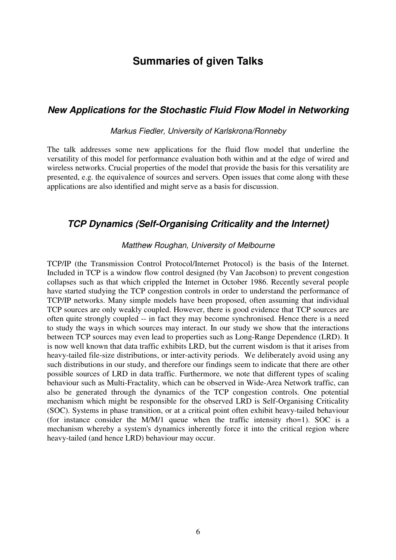### **Summaries of given Talks**

#### **New Applications for the Stochastic Fluid Flow Model in Networking**

#### Markus Fiedler, University of Karlskrona/Ronneby

The talk addresses some new applications for the fluid flow model that underline the versatility of this model for performance evaluation both within and at the edge of wired and wireless networks. Crucial properties of the model that provide the basis for this versatility are presented, e.g. the equivalence of sources and servers. Open issues that come along with these applications are also identified and might serve as a basis for discussion.

#### **TCP Dynamics (Self-Organising Criticality and the Internet)**

#### Matthew Roughan, University of Melbourne

TCP/IP (the Transmission Control Protocol/Internet Protocol) is the basis of the Internet. Included in TCP is a window flow control designed (by Van Jacobson) to prevent congestion collapses such as that which crippled the Internet in October 1986. Recently several people have started studying the TCP congestion controls in order to understand the performance of TCP/IP networks. Many simple models have been proposed, often assuming that individual TCP sources are only weakly coupled. However, there is good evidence that TCP sources are often quite strongly coupled -- in fact they may become synchronised. Hence there is a need to study the ways in which sources may interact. In our study we show that the interactions between TCP sources may even lead to properties such as Long-Range Dependence (LRD). It is now well known that data traffic exhibits LRD, but the current wisdom is that it arises from heavy-tailed file-size distributions, or inter-activity periods. We deliberately avoid using any such distributions in our study, and therefore our findings seem to indicate that there are other possible sources of LRD in data traffic. Furthermore, we note that different types of scaling behaviour such as Multi-Fractality, which can be observed in Wide-Area Network traffic, can also be generated through the dynamics of the TCP congestion controls. One potential mechanism which might be responsible for the observed LRD is Self-Organising Criticality (SOC). Systems in phase transition, or at a critical point often exhibit heavy-tailed behaviour (for instance consider the M/M/1 queue when the traffic intensity rho=1). SOC is a mechanism whereby a system's dynamics inherently force it into the critical region where heavy-tailed (and hence LRD) behaviour may occur.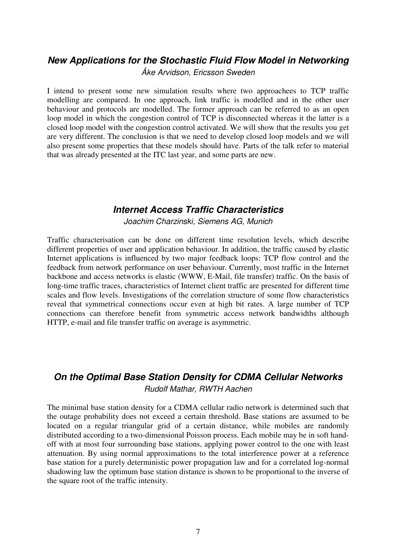#### **New Applications for the Stochastic Fluid Flow Model in Networking**  Åke Arvidson, Ericsson Sweden

I intend to present some new simulation results where two approachees to TCP traffic modelling are compared. In one approach, link traffic is modelled and in the other user behaviour and protocols are modelled. The former approach can be referred to as an open loop model in which the congestion control of TCP is disconnected whereas it the latter is a closed loop model with the congestion control activated. We will show that the results you get are very different. The conclusion is that we need to develop closed loop models and we will also present some properties that these models should have. Parts of the talk refer to material that was already presented at the ITC last year, and some parts are new.

#### **Internet Access Traffic Characteristics**

Joachim Charzinski, Siemens AG, Munich

Traffic characterisation can be done on different time resolution levels, which describe different properties of user and application behaviour. In addition, the traffic caused by elastic Internet applications is influenced by two major feedback loops: TCP flow control and the feedback from network performance on user behaviour. Currently, most traffic in the Internet backbone and access networks is elastic (WWW, E-Mail, file transfer) traffic. On the basis of long-time traffic traces, characteristics of Internet client traffic are presented for different time scales and flow levels. Investigations of the correlation structure of some flow characteristics reveal that symmetrical connections occur even at high bit rates. A large number of TCP connections can therefore benefit from symmetric access network bandwidths although HTTP, e-mail and file transfer traffic on average is asymmetric.

#### **On the Optimal Base Station Density for CDMA Cellular Networks**  Rudolf Mathar, RWTH Aachen

The minimal base station density for a CDMA cellular radio network is determined such that the outage probability does not exceed a certain threshold. Base stations are assumed to be located on a regular triangular grid of a certain distance, while mobiles are randomly distributed according to a two-dimensional Poisson process. Each mobile may be in soft handoff with at most four surrounding base stations, applying power control to the one with least attenuation. By using normal approximations to the total interference power at a reference base station for a purely deterministic power propagation law and for a correlated log-normal shadowing law the optimum base station distance is shown to be proportional to the inverse of the square root of the traffic intensity.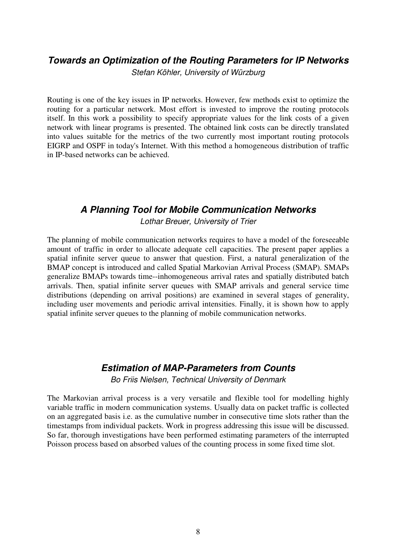#### **Towards an Optimization of the Routing Parameters for IP Networks**

Stefan Köhler, University of Würzburg

Routing is one of the key issues in IP networks. However, few methods exist to optimize the routing for a particular network. Most effort is invested to improve the routing protocols itself. In this work a possibility to specify appropriate values for the link costs of a given network with linear programs is presented. The obtained link costs can be directly translated into values suitable for the metrics of the two currently most important routing protocols EIGRP and OSPF in today's Internet. With this method a homogeneous distribution of traffic in IP-based networks can be achieved.

#### **A Planning Tool for Mobile Communication Networks**

Lothar Breuer, University of Trier

The planning of mobile communication networks requires to have a model of the foreseeable amount of traffic in order to allocate adequate cell capacities. The present paper applies a spatial infinite server queue to answer that question. First, a natural generalization of the BMAP concept is introduced and called Spatial Markovian Arrival Process (SMAP). SMAPs generalize BMAPs towards time--inhomogeneous arrival rates and spatially distributed batch arrivals. Then, spatial infinite server queues with SMAP arrivals and general service time distributions (depending on arrival positions) are examined in several stages of generality, including user movements and periodic arrival intensities. Finally, it is shown how to apply spatial infinite server queues to the planning of mobile communication networks.

#### **Estimation of MAP-Parameters from Counts**

Bo Friis Nielsen, Technical University of Denmark

The Markovian arrival process is a very versatile and flexible tool for modelling highly variable traffic in modern communication systems. Usually data on packet traffic is collected on an aggregated basis i.e. as the cumulative number in consecutive time slots rather than the timestamps from individual packets. Work in progress addressing this issue will be discussed. So far, thorough investigations have been performed estimating parameters of the interrupted Poisson process based on absorbed values of the counting process in some fixed time slot.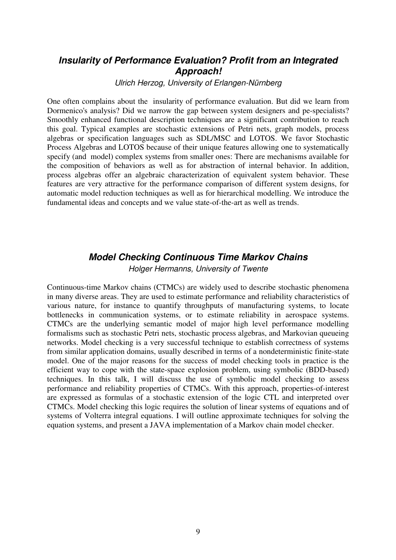#### **Insularity of Performance Evaluation? Profit from an Integrated Approach!**

Ulrich Herzog, University of Erlangen-Nürnberg

One often complains about the insularity of performance evaluation. But did we learn from Dormenico's analysis? Did we narrow the gap between system designers and pe-specialists? Smoothly enhanced functional description techniques are a significant contribution to reach this goal. Typical examples are stochastic extensions of Petri nets, graph models, process algebras or specification languages such as SDL/MSC and LOTOS. We favor Stochastic Process Algebras and LOTOS because of their unique features allowing one to systematically specify (and model) complex systems from smaller ones: There are mechanisms available for the composition of behaviors as well as for abstraction of internal behavior. In addition, process algebras offer an algebraic characterization of equivalent system behavior. These features are very attractive for the performance comparison of different system designs, for automatic model reduction techniques as well as for hierarchical modelling. We introduce the fundamental ideas and concepts and we value state-of-the-art as well as trends.

## **Model Checking Continuous Time Markov Chains**

Holger Hermanns, University of Twente

Continuous-time Markov chains (CTMCs) are widely used to describe stochastic phenomena in many diverse areas. They are used to estimate performance and reliability characteristics of various nature, for instance to quantify throughputs of manufacturing systems, to locate bottlenecks in communication systems, or to estimate reliability in aerospace systems. CTMCs are the underlying semantic model of major high level performance modelling formalisms such as stochastic Petri nets, stochastic process algebras, and Markovian queueing networks. Model checking is a very successful technique to establish correctness of systems from similar application domains, usually described in terms of a nondeterministic finite-state model. One of the major reasons for the success of model checking tools in practice is the efficient way to cope with the state-space explosion problem, using symbolic (BDD-based) techniques. In this talk, I will discuss the use of symbolic model checking to assess performance and reliability properties of CTMCs. With this approach, properties-of-interest are expressed as formulas of a stochastic extension of the logic CTL and interpreted over CTMCs. Model checking this logic requires the solution of linear systems of equations and of systems of Volterra integral equations. I will outline approximate techniques for solving the equation systems, and present a JAVA implementation of a Markov chain model checker.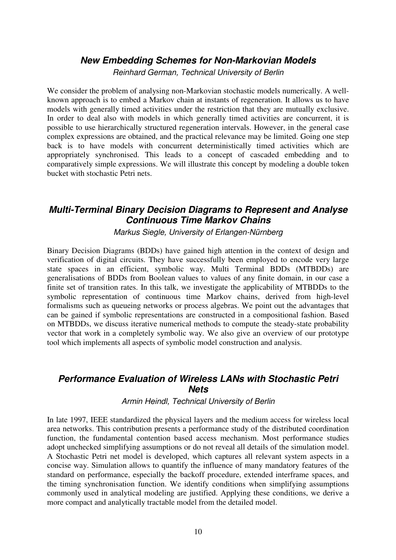#### **New Embedding Schemes for Non-Markovian Models**

Reinhard German, Technical University of Berlin

We consider the problem of analysing non-Markovian stochastic models numerically. A wellknown approach is to embed a Markov chain at instants of regeneration. It allows us to have models with generally timed activities under the restriction that they are mutually exclusive. In order to deal also with models in which generally timed activities are concurrent, it is possible to use hierarchically structured regeneration intervals. However, in the general case complex expressions are obtained, and the practical relevance may be limited. Going one step back is to have models with concurrent deterministically timed activities which are appropriately synchronised. This leads to a concept of cascaded embedding and to comparatively simple expressions. We will illustrate this concept by modeling a double token bucket with stochastic Petri nets.

#### **Multi-Terminal Binary Decision Diagrams to Represent and Analyse Continuous Time Markov Chains**

Markus Siegle, University of Erlangen-Nürnberg

Binary Decision Diagrams (BDDs) have gained high attention in the context of design and verification of digital circuits. They have successfully been employed to encode very large state spaces in an efficient, symbolic way. Multi Terminal BDDs (MTBDDs) are generalisations of BDDs from Boolean values to values of any finite domain, in our case a finite set of transition rates. In this talk, we investigate the applicability of MTBDDs to the symbolic representation of continuous time Markov chains, derived from high-level formalisms such as queueing networks or process algebras. We point out the advantages that can be gained if symbolic representations are constructed in a compositional fashion. Based on MTBDDs, we discuss iterative numerical methods to compute the steady-state probability vector that work in a completely symbolic way. We also give an overview of our prototype tool which implements all aspects of symbolic model construction and analysis.

#### **Performance Evaluation of Wireless LANs with Stochastic Petri Nets**

Armin Heindl, Technical University of Berlin

In late 1997, IEEE standardized the physical layers and the medium access for wireless local area networks. This contribution presents a performance study of the distributed coordination function, the fundamental contention based access mechanism. Most performance studies adopt unchecked simplifying assumptions or do not reveal all details of the simulation model. A Stochastic Petri net model is developed, which captures all relevant system aspects in a concise way. Simulation allows to quantify the influence of many mandatory features of the standard on performance, especially the backoff procedure, extended interframe spaces, and the timing synchronisation function. We identify conditions when simplifying assumptions commonly used in analytical modeling are justified. Applying these conditions, we derive a more compact and analytically tractable model from the detailed model.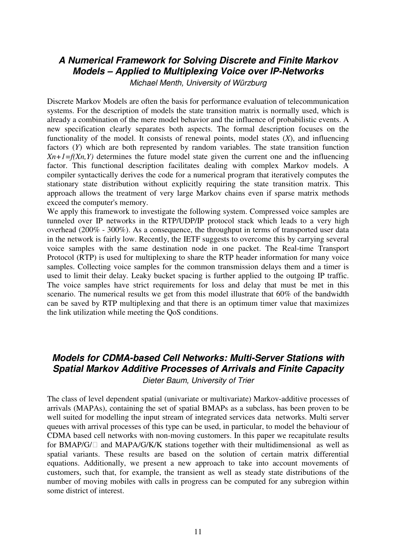#### **A Numerical Framework for Solving Discrete and Finite Markov Models – Applied to Multiplexing Voice over IP-Networks**

Michael Menth, University of Würzburg

Discrete Markov Models are often the basis for performance evaluation of telecommunication systems. For the description of models the state transition matrix is normally used, which is already a combination of the mere model behavior and the influence of probabilistic events. A new specification clearly separates both aspects. The formal description focuses on the functionality of the model. It consists of renewal points, model states (*X*), and influencing factors (*Y*) which are both represented by random variables. The state transition function  $X_n+1=f(X_n,Y)$  determines the future model state given the current one and the influencing factor. This functional description facilitates dealing with complex Markov models. A compiler syntactically derives the code for a numerical program that iteratively computes the stationary state distribution without explicitly requiring the state transition matrix. This approach allows the treatment of very large Markov chains even if sparse matrix methods exceed the computer's memory.

We apply this framework to investigate the following system. Compressed voice samples are tunneled over IP networks in the RTP/UDP/IP protocol stack which leads to a very high overhead (200% - 300%). As a consequence, the throughput in terms of transported user data in the network is fairly low. Recently, the IETF suggests to overcome this by carrying several voice samples with the same destination node in one packet. The Real-time Transport Protocol (RTP) is used for multiplexing to share the RTP header information for many voice samples. Collecting voice samples for the common transmission delays them and a timer is used to limit their delay. Leaky bucket spacing is further applied to the outgoing IP traffic. The voice samples have strict requirements for loss and delay that must be met in this scenario. The numerical results we get from this model illustrate that 60% of the bandwidth can be saved by RTP multiplexing and that there is an optimum timer value that maximizes the link utilization while meeting the QoS conditions.

#### **Models for CDMA-based Cell Networks: Multi-Server Stations with Spatial Markov Additive Processes of Arrivals and Finite Capacity**  Dieter Baum, University of Trier

The class of level dependent spatial (univariate or multivariate) Markov-additive processes of arrivals (MAPAs), containing the set of spatial BMAPs as a subclass, has been proven to be well suited for modelling the input stream of integrated services data networks. Multi server queues with arrival processes of this type can be used, in particular, to model the behaviour of CDMA based cell networks with non-moving customers. In this paper we recapitulate results for BMAP/G/ and MAPA/G/K/K stations together with their multidimensional as well as spatial variants. These results are based on the solution of certain matrix differential equations. Additionally, we present a new approach to take into account movements of customers, such that, for example, the transient as well as steady state distributions of the number of moving mobiles with calls in progress can be computed for any subregion within some district of interest.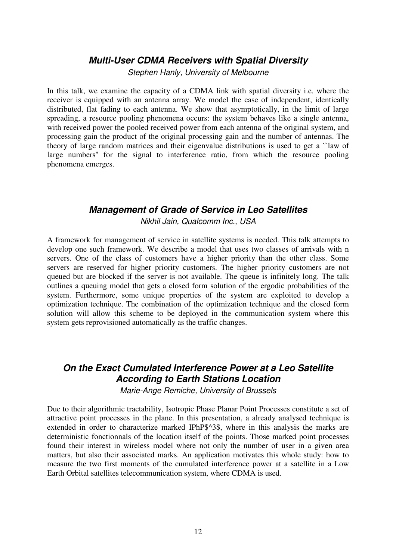#### **Multi-User CDMA Receivers with Spatial Diversity**

Stephen Hanly, University of Melbourne

In this talk, we examine the capacity of a CDMA link with spatial diversity i.e. where the receiver is equipped with an antenna array. We model the case of independent, identically distributed, flat fading to each antenna. We show that asymptotically, in the limit of large spreading, a resource pooling phenomena occurs: the system behaves like a single antenna, with received power the pooled received power from each antenna of the original system, and processing gain the product of the original processing gain and the number of antennas. The theory of large random matrices and their eigenvalue distributions is used to get a ``law of large numbers'' for the signal to interference ratio, from which the resource pooling phenomena emerges.

#### **Management of Grade of Service in Leo Satellites**

Nikhil Jain, Qualcomm Inc., USA

A framework for management of service in satellite systems is needed. This talk attempts to develop one such framework. We describe a model that uses two classes of arrivals with n servers. One of the class of customers have a higher priority than the other class. Some servers are reserved for higher priority customers. The higher priority customers are not queued but are blocked if the server is not available. The queue is infinitely long. The talk outlines a queuing model that gets a closed form solution of the ergodic probabilities of the system. Furthermore, some unique properties of the system are exploited to develop a optimization technique. The combination of the optimization technique and the closed form solution will allow this scheme to be deployed in the communication system where this system gets reprovisioned automatically as the traffic changes.

#### **On the Exact Cumulated Interference Power at a Leo Satellite According to Earth Stations Location**

Marie-Ange Remiche, University of Brussels

Due to their algorithmic tractability, Isotropic Phase Planar Point Processes constitute a set of attractive point processes in the plane. In this presentation, a already analysed technique is extended in order to characterize marked IPhP\$^3\$, where in this analysis the marks are deterministic fonctionnals of the location itself of the points. Those marked point processes found their interest in wireless model where not only the number of user in a given area matters, but also their associated marks. An application motivates this whole study: how to measure the two first moments of the cumulated interference power at a satellite in a Low Earth Orbital satellites telecommunication system, where CDMA is used.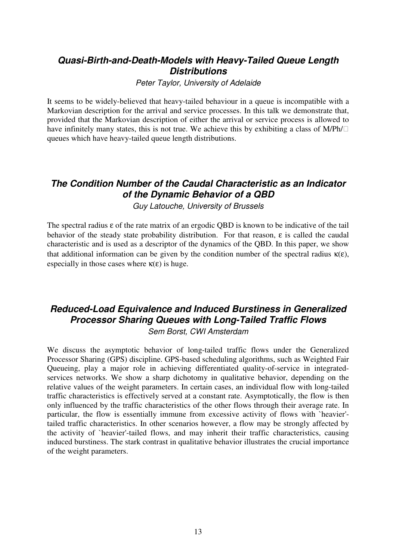#### **Quasi-Birth-and-Death-Models with Heavy-Tailed Queue Length Distributions**

Peter Taylor, University of Adelaide

It seems to be widely-believed that heavy-tailed behaviour in a queue is incompatible with a Markovian description for the arrival and service processes. In this talk we demonstrate that, provided that the Markovian description of either the arrival or service process is allowed to have infinitely many states, this is not true. We achieve this by exhibiting a class of M/Ph/ queues which have heavy-tailed queue length distributions.

#### **The Condition Number of the Caudal Characteristic as an Indicator of the Dynamic Behavior of a QBD**

Guy Latouche, University of Brussels

The spectral radius ε of the rate matrix of an ergodic QBD is known to be indicative of the tail behavior of the steady state probability distribution. For that reason, ε is called the caudal characteristic and is used as a descriptor of the dynamics of the QBD. In this paper, we show that additional information can be given by the condition number of the spectral radius  $\kappa(\epsilon)$ . especially in those cases where  $\kappa(\epsilon)$  is huge.

#### **Reduced-Load Equivalence and Induced Burstiness in Generalized Processor Sharing Queues with Long-Tailed Traffic Flows**  Sem Borst, CWI Amsterdam

We discuss the asymptotic behavior of long-tailed traffic flows under the Generalized Processor Sharing (GPS) discipline. GPS-based scheduling algorithms, such as Weighted Fair Queueing, play a major role in achieving differentiated quality-of-service in integratedservices networks. We show a sharp dichotomy in qualitative behavior, depending on the relative values of the weight parameters. In certain cases, an individual flow with long-tailed traffic characteristics is effectively served at a constant rate. Asymptotically, the flow is then only influenced by the traffic characteristics of the other flows through their average rate. In particular, the flow is essentially immune from excessive activity of flows with `heavier' tailed traffic characteristics. In other scenarios however, a flow may be strongly affected by the activity of `heavier'-tailed flows, and may inherit their traffic characteristics, causing induced burstiness. The stark contrast in qualitative behavior illustrates the crucial importance of the weight parameters.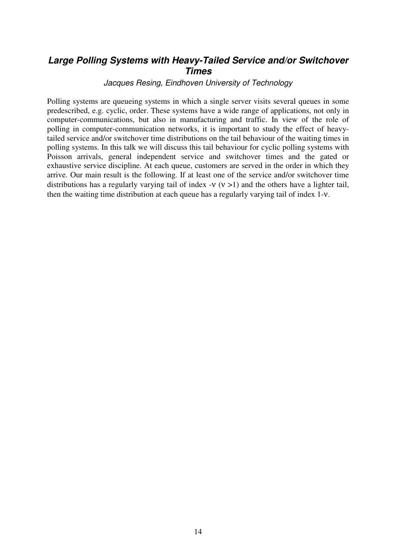#### **Large Polling Systems with Heavy-Tailed Service and/or Switchover Times**

#### Jacques Resing, Eindhoven University of Technology

Polling systems are queueing systems in which a single server visits several queues in some predescribed, e.g. cyclic, order. These systems have a wide range of applications, not only in computer-communications, but also in manufacturing and traffic. In view of the role of polling in computer-communication networks, it is important to study the effect of heavytailed service and/or switchover time distributions on the tail behaviour of the waiting times in polling systems. In this talk we will discuss this tail behaviour for cyclic polling systems with Poisson arrivals, general independent service and switchover times and the gated or exhaustive service discipline. At each queue, customers are served in the order in which they arrive. Our main result is the following. If at least one of the service and/or switchover time distributions has a regularly varying tail of index -ν  $(v > 1)$  and the others have a lighter tail, then the waiting time distribution at each queue has a regularly varying tail of index 1-ν.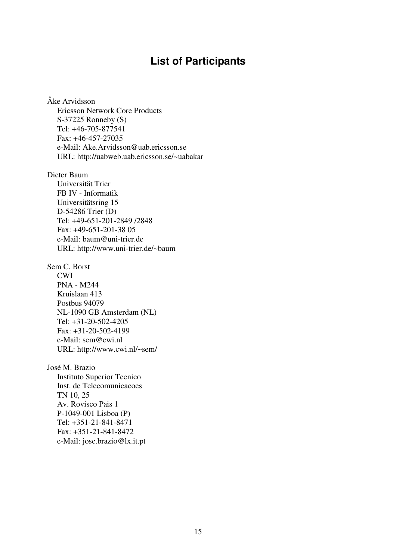### **List of Participants**

Åke Arvidsson Ericsson Network Core Products S-37225 Ronneby (S) Tel: +46-705-877541 Fax: +46-457-27035 e-Mail: Ake.Arvidsson@uab.ericsson.se URL: http://uabweb.uab.ericsson.se/~uabakar

Dieter Baum Universität Trier FB IV - Informatik Universitätsring 15 D-54286 Trier (D) Tel: +49-651-201-2849 /2848 Fax: +49-651-201-38 05 e-Mail: baum@uni-trier.de URL: http://www.uni-trier.de/~baum

Sem C. Borst CWI PNA - M244 Kruislaan 413 Postbus 94079 NL-1090 GB Amsterdam (NL) Tel: +31-20-502-4205 Fax: +31-20-502-4199 e-Mail: sem@cwi.nl URL: http://www.cwi.nl/~sem/

José M. Brazio Instituto Superior Tecnico Inst. de Telecomunicacoes TN 10, 25 Av. Rovisco Pais 1 P-1049-001 Lisboa (P) Tel: +351-21-841-8471 Fax: +351-21-841-8472 e-Mail: jose.brazio@lx.it.pt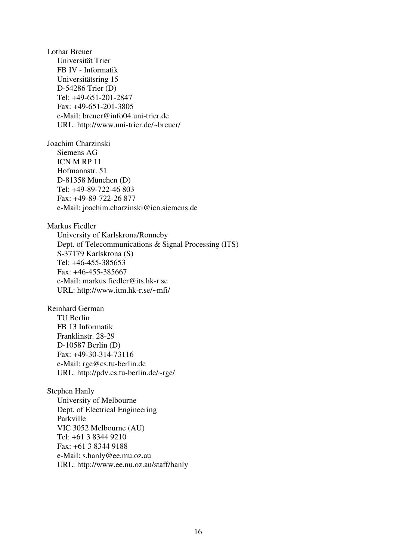Lothar Breuer Universität Trier FB IV - Informatik Universitätsring 15 D-54286 Trier (D) Tel: +49-651-201-2847 Fax: +49-651-201-3805 e-Mail: breuer@info04.uni-trier.de URL: http://www.uni-trier.de/~breuer/

Joachim Charzinski Siemens AG ICN M RP 11 Hofmannstr. 51 D-81358 München (D) Tel: +49-89-722-46 803 Fax: +49-89-722-26 877 e-Mail: joachim.charzinski@icn.siemens.de

Markus Fiedler University of Karlskrona/Ronneby Dept. of Telecommunications & Signal Processing (ITS) S-37179 Karlskrona (S) Tel: +46-455-385653 Fax: +46-455-385667 e-Mail: markus.fiedler@its.hk-r.se URL: http://www.itm.hk-r.se/~mfi/

Reinhard German TU Berlin FB 13 Informatik Franklinstr. 28-29 D-10587 Berlin (D) Fax: +49-30-314-73116 e-Mail: rge@cs.tu-berlin.de URL: http://pdv.cs.tu-berlin.de/~rge/

Stephen Hanly University of Melbourne Dept. of Electrical Engineering Parkville VIC 3052 Melbourne (AU) Tel: +61 3 8344 9210 Fax: +61 3 8344 9188 e-Mail: s.hanly@ee.mu.oz.au URL: http://www.ee.nu.oz.au/staff/hanly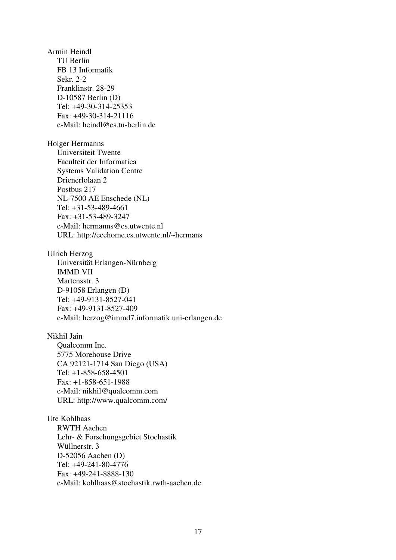Armin Heindl TU Berlin FB 13 Informatik Sekr. 2-2 Franklinstr. 28-29 D-10587 Berlin (D) Tel: +49-30-314-25353 Fax: +49-30-314-21116 e-Mail: heindl@cs.tu-berlin.de

Holger Hermanns Universiteit Twente Faculteit der Informatica Systems Validation Centre Drienerlolaan 2 Postbus 217 NL-7500 AE Enschede (NL) Tel: +31-53-489-4661 Fax: +31-53-489-3247 e-Mail: hermanns@cs.utwente.nl URL: http://eeehome.cs.utwente.nl/~hermans

Ulrich Herzog Universität Erlangen-Nürnberg IMMD VII Martensstr. 3 D-91058 Erlangen (D) Tel: +49-9131-8527-041 Fax: +49-9131-8527-409 e-Mail: herzog@immd7.informatik.uni-erlangen.de

Nikhil Jain Qualcomm Inc. 5775 Morehouse Drive CA 92121-1714 San Diego (USA) Tel: +1-858-658-4501 Fax: +1-858-651-1988 e-Mail: nikhil@qualcomm.com URL: http://www.qualcomm.com/

Ute Kohlhaas RWTH Aachen Lehr- & Forschungsgebiet Stochastik Wüllnerstr. 3 D-52056 Aachen (D) Tel: +49-241-80-4776 Fax: +49-241-8888-130 e-Mail: kohlhaas@stochastik.rwth-aachen.de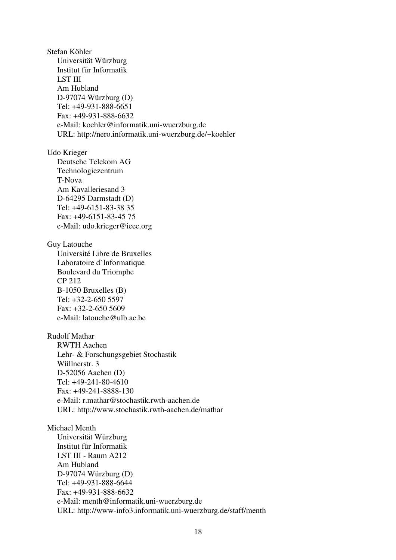Stefan Köhler Universität Würzburg Institut für Informatik LST III Am Hubland D-97074 Würzburg (D) Tel: +49-931-888-6651 Fax: +49-931-888-6632 e-Mail: koehler@informatik.uni-wuerzburg.de URL: http://nero.informatik.uni-wuerzburg.de/~koehler Udo Krieger Deutsche Telekom AG Technologiezentrum T-Nova Am Kavalleriesand 3 D-64295 Darmstadt (D) Tel: +49-6151-83-38 35 Fax: +49-6151-83-45 75 e-Mail: udo.krieger@ieee.org Guy Latouche Université Libre de Bruxelles Laboratoire d`Informatique Boulevard du Triomphe CP 212 B-1050 Bruxelles (B) Tel: +32-2-650 5597 Fax: +32-2-650 5609 e-Mail: latouche@ulb.ac.be Rudolf Mathar RWTH Aachen Lehr- & Forschungsgebiet Stochastik Wüllnerstr. 3 D-52056 Aachen (D) Tel: +49-241-80-4610 Fax: +49-241-8888-130 e-Mail: r.mathar@stochastik.rwth-aachen.de URL: http://www.stochastik.rwth-aachen.de/mathar Michael Menth Universität Würzburg Institut für Informatik LST III - Raum A212 Am Hubland D-97074 Würzburg (D) Tel: +49-931-888-6644 Fax: +49-931-888-6632

e-Mail: menth@informatik.uni-wuerzburg.de

URL: http://www-info3.informatik.uni-wuerzburg.de/staff/menth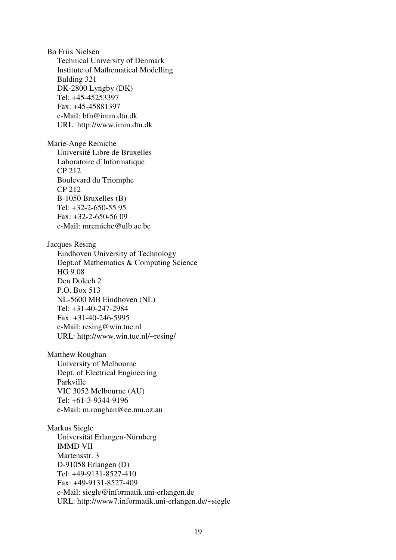Bo Friis Nielsen Technical University of Denmark Institute of Mathematical Modelling Bulding 321 DK-2800 Lyngby (DK) Tel: +45-45253397 Fax: +45-45881397 e-Mail: bfn@imm.dtu.dk URL: http://www.imm.dtu.dk Marie-Ange Remiche Université Libre de Bruxelles Laboratoire d`Informatique CP 212 Boulevard du Triomphe CP 212 B-1050 Bruxelles (B) Tel: +32-2-650-55 95 Fax: +32-2-650-56 09 e-Mail: mremiche@ulb.ac.be Jacques Resing Eindhoven University of Technology Dept.of Mathematics & Computing Science HG 9.08 Den Dolech 2 P.O. Box 513 NL-5600 MB Eindhoven (NL) Tel: +31-40-247-2984 Fax: +31-40-246-5995 e-Mail: resing@win.tue.nl URL: http://www.win.tue.nl/~resing/ Matthew Roughan University of Melbourne Dept. of Electrical Engineering Parkville VIC 3052 Melbourne (AU) Tel: +61-3-9344-9196 e-Mail: m.roughan@ee.mu.oz.au

Markus Siegle Universität Erlangen-Nürnberg IMMD VII Martensstr. 3 D-91058 Erlangen (D) Tel: +49-9131-8527-410 Fax: +49-9131-8527-409 e-Mail: siegle@informatik.uni-erlangen.de URL: http://www7.informatik.uni-erlangen.de/~siegle